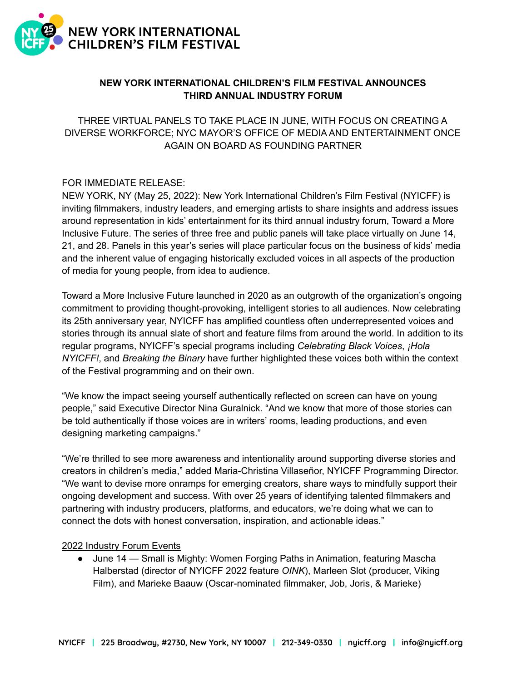

# **NEW YORK INTERNATIONAL CHILDREN'S FILM FESTIVAL ANNOUNCES THIRD ANNUAL INDUSTRY FORUM**

THREE VIRTUAL PANELS TO TAKE PLACE IN JUNE, WITH FOCUS ON CREATING A DIVERSE WORKFORCE; NYC MAYOR'S OFFICE OF MEDIA AND ENTERTAINMENT ONCE AGAIN ON BOARD AS FOUNDING PARTNER

## FOR IMMEDIATE RELEASE:

NEW YORK, NY (May 25, 2022): New York International Children's Film Festival (NYICFF) is inviting filmmakers, industry leaders, and emerging artists to share insights and address issues around representation in kids' entertainment for its third annual industry forum, Toward a More Inclusive Future. The series of three free and public panels will take place virtually on June 14, 21, and 28. Panels in this year's series will place particular focus on the business of kids' media and the inherent value of engaging historically excluded voices in all aspects of the production of media for young people, from idea to audience.

Toward a More Inclusive Future launched in 2020 as an outgrowth of the organization's ongoing commitment to providing thought-provoking, intelligent stories to all audiences. Now celebrating its 25th anniversary year, NYICFF has amplified countless often underrepresented voices and stories through its annual slate of short and feature films from around the world. In addition to its regular programs, NYICFF's special programs including *Celebrating Black Voices*, *¡Hola NYICFF!*, and *Breaking the Binary* have further highlighted these voices both within the context of the Festival programming and on their own.

"We know the impact seeing yourself authentically reflected on screen can have on young people," said Executive Director Nina Guralnick. "And we know that more of those stories can be told authentically if those voices are in writers' rooms, leading productions, and even designing marketing campaigns."

"We're thrilled to see more awareness and intentionality around supporting diverse stories and creators in children's media," added Maria-Christina Villaseñor, NYICFF Programming Director. "We want to devise more onramps for emerging creators, share ways to mindfully support their ongoing development and success. With over 25 years of identifying talented filmmakers and partnering with industry producers, platforms, and educators, we're doing what we can to connect the dots with honest conversation, inspiration, and actionable ideas."

### 2022 Industry Forum Events

● June 14 — Small is Mighty: Women Forging Paths in Animation, featuring Mascha Halberstad (director of NYICFF 2022 feature *OINK*), Marleen Slot (producer, Viking Film), and Marieke Baauw (Oscar-nominated filmmaker, Job, Joris, & Marieke)